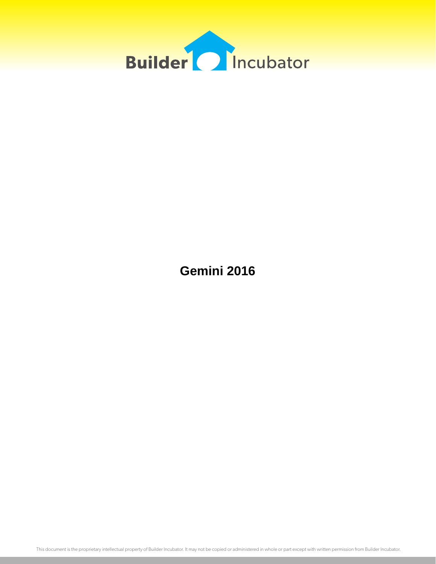

**Gemini 2016**

This document is the proprietary intellectual property of Builder Incubator. It may not be copied or administered in whole or part except with written permission from Builder Incubator.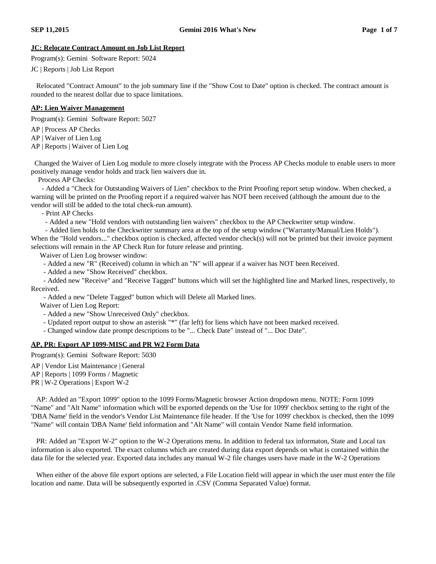### **JC: Relocate Contract Amount on Job List Report**

Program(s): Gemini Software Report: 5024

JC | Reports | Job List Report

Relocated "Contract Amount" to the job summary line if the "Show Cost to Date" option is checked. The contract amount is rounded to the nearest dollar due to space limitations.

### **AP: Lien Waiver Management**

Program(s): Gemini Software Report: 5027

AP | Process AP Checks

AP | Waiver of Lien Log

AP | Reports | Waiver of Lien Log

Changed the Waiver of Lien Log module to more closely integrate with the Process AP Checks module to enable users to more positively manage vendor holds and track lien waivers due in.

Process AP Checks:

- Added a "Check for Outstanding Waivers of Lien" checkbox to the Print Proofing report setup window. When checked, a warning will be printed on the Proofing report if a required waiver has NOT been received (although the amount due to the vendor will still be added to the total check-run amount).

- Print AP Checks

- Added a new "Hold vendors with outstanding lien waivers" checkbox to the AP Checkwriter setup window.

- Added lien holds to the Checkwriter summary area at the top of the setup window ("Warranty/Manual/Lien Holds"). When the "Hold vendors..." checkbox option is checked, affected vendor check(s) will not be printed but their invoice payment selections will remain in the AP Check Run for future release and printing.

Waiver of Lien Log browser window:

- Added a new "R" (Received) column in which an "N" will appear if a waiver has NOT been Received.

- Added a new "Show Received" checkbox.

- Added new "Receive" and "Receive Tagged" buttons which will set the highlighted line and Marked lines, respectively, to Received.

- Added a new "Delete Tagged" button which will Delete all Marked lines.

Waiver of Lien Log Report:

- Added a new "Show Unreceived Only" checkbox.

- Updated report output to show an asterisk "\*" (far left) for liens which have not been marked received.
- Changed window date prompt descriptions to be "... Check Date" instead of "... Doc Date".

### **AP, PR: Export AP 1099-MISC and PR W2 Form Data**

Program(s): Gemini Software Report: 5030

AP | Vendor List Maintenance | General

AP | Reports | 1099 Forms / Magnetic

PR | W-2 Operations | Export W-2

AP: Added an "Export 1099" option to the 1099 Forms/Magnetic browser Action dropdown menu. NOTE: Form 1099 "Name" and "Alt Name" information which will be exported depends on the 'Use for 1099' checkbox setting to the right of the 'DBA Name' field in the vendor's Vendor List Maintenance file header. If the 'Use for 1099' checkbox is checked, then the 1099 "Name" will contain 'DBA Name' field information and "Alt Name" will contain Vendor Name field information.

PR: Added an "Export W-2" option to the W-2 Operations menu. In addition to federal tax informaton, State and Local tax information is also exported. The exact columns which are created during data export depends on what is contained within the data file for the selected year. Exported data includes any manual W-2 file changes users have made in the W-2 Operations

When either of the above file export options are selected, a File Location field will appear in which the user must enter the file location and name. Data will be subsequently exported in .CSV (Comma Separated Value) format.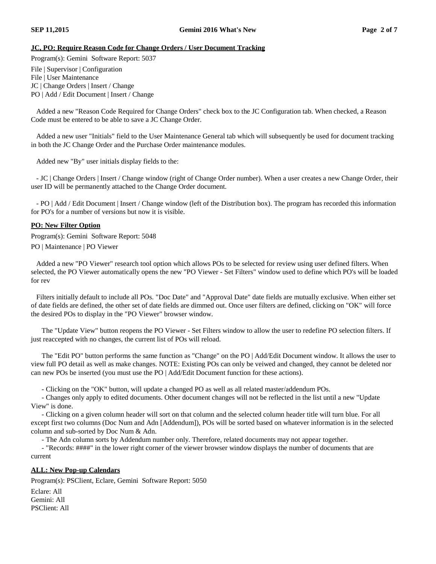# **JC, PO: Require Reason Code for Change Orders / User Document Tracking**

Program(s): Gemini Software Report: 5037

File | Supervisor | Configuration

File | User Maintenance

JC | Change Orders | Insert / Change

PO | Add / Edit Document | Insert / Change

Added a new "Reason Code Required for Change Orders" check box to the JC Configuration tab. When checked, a Reason Code must be entered to be able to save a JC Change Order.

Added a new user "Initials" field to the User Maintenance General tab which will subsequently be used for document tracking in both the JC Change Order and the Purchase Order maintenance modules.

Added new "By" user initials display fields to the:

- JC | Change Orders | Insert / Change window (right of Change Order number). When a user creates a new Change Order, their user ID will be permanently attached to the Change Order document.

- PO | Add / Edit Document | Insert / Change window (left of the Distribution box). The program has recorded this information for PO's for a number of versions but now it is visible.

## **PO: New Filter Option**

Program(s): Gemini Software Report: 5048

PO | Maintenance | PO Viewer

Added a new "PO Viewer" research tool option which allows POs to be selected for review using user defined filters. When selected, the PO Viewer automatically opens the new "PO Viewer - Set Filters" window used to define which PO's will be loaded for rev

Filters initially default to include all POs. "Doc Date" and "Approval Date" date fields are mutually exclusive. When either set of date fields are defined, the other set of date fields are dimmed out. Once user filters are defined, clicking on "OK" will force the desired POs to display in the "PO Viewer" browser window.

The "Update View" button reopens the PO Viewer - Set Filters window to allow the user to redefine PO selection filters. If just reaccepted with no changes, the current list of POs will reload.

The "Edit PO" button performs the same function as "Change" on the PO | Add/Edit Document window. It allows the user to view full PO detail as well as make changes. NOTE: Existing POs can only be veiwed and changed, they cannot be deleted nor can new POs be inserted (you must use the PO | Add/Edit Document function for these actions).

- Clicking on the "OK" button, will update a changed PO as well as all related master/addendum POs.

- Changes only apply to edited documents. Other document changes will not be reflected in the list until a new "Update View" is done.

- Clicking on a given column header will sort on that column and the selected column header title will turn blue. For all except first two columns (Doc Num and Adn [Addendum]), POs will be sorted based on whatever information is in the selected column and sub-sorted by Doc Num & Adn.

- The Adn column sorts by Addendum number only. Therefore, related documents may not appear together.

- "Records: ####" in the lower right corner of the viewer browser window displays the number of documents that are current

### **ALL: New Pop-up Calendars**

Program(s): PSClient, Eclare, Gemini Software Report: 5050

Eclare: All Gemini: All PSClient: All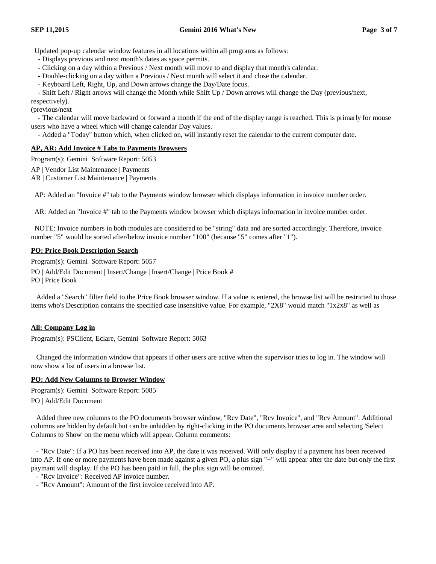Updated pop-up calendar window features in all locations within all programs as follows:

- Displays previous and next month's dates as space permits.

- Clicking on a day within a Previous / Next month will move to and display that month's calendar.

- Double-clicking on a day within a Previous / Next month will select it and close the calendar.

- Keyboard Left, Right, Up, and Down arrows change the Day/Date focus.

- Shift Left / Right arrows will change the Month while Shift Up / Down arrows will change the Day (previous/next,

respectively). (previous/next

- The calendar will move backward or forward a month if the end of the display range is reached. This is primarly for mouse users who have a wheel which will change calendar Day values.

- Added a "Today" button which, when clicked on, will instantly reset the calendar to the current computer date.

### **AP, AR: Add Invoice # Tabs to Payments Browsers**

Program(s): Gemini Software Report: 5053

- AP | Vendor List Maintenance | Payments
- AR | Customer List Maintenance | Payments

AP: Added an "Invoice #" tab to the Payments window browser which displays information in invoice number order.

AR: Added an "Invoice #" tab to the Payments window browser which displays information in invoice number order.

NOTE: Invoice numbers in both modules are considered to be "string" data and are sorted accordingly. Therefore, invoice number "5" would be sorted after/below invoice number "100" (because "5" comes after "1").

#### **PO: Price Book Description Search**

Program(s): Gemini Software Report: 5057

PO | Add/Edit Document | Insert/Change | Insert/Change | Price Book #

PO | Price Book

Added a "Search" filter field to the Price Book browser window. If a value is entered, the browse list will be restricted to those items who's Description contains the specified case insensitive value. For example, "2X8" would match "1x2x8" as well as

### **All: Company Log in**

Program(s): PSClient, Eclare, Gemini Software Report: 5063

Changed the information window that appears if other users are active when the supervisor tries to log in. The window will now show a list of users in a browse list.

### **PO: Add New Columns to Browser Window**

Program(s): Gemini Software Report: 5085 PO | Add/Edit Document

Added three new columns to the PO documents browser window, "Rcv Date", "Rcv Invoice", and "Rcv Amount". Additional columns are hidden by default but can be unhidden by right-clicking in the PO documents browser area and selecting 'Select Columns to Show' on the menu which will appear. Column comments:

- "Rcv Date": If a PO has been received into AP, the date it was received. Will only display if a payment has been received into AP. If one or more payments have been made against a given PO, a plus sign "+" will appear after the date but only the first paymant will display. If the PO has been paid in full, the plus sign will be omitted.

- "Rcv Invoice": Received AP invoice number.

- "Rcv Amount": Amount of the first invoice received into AP.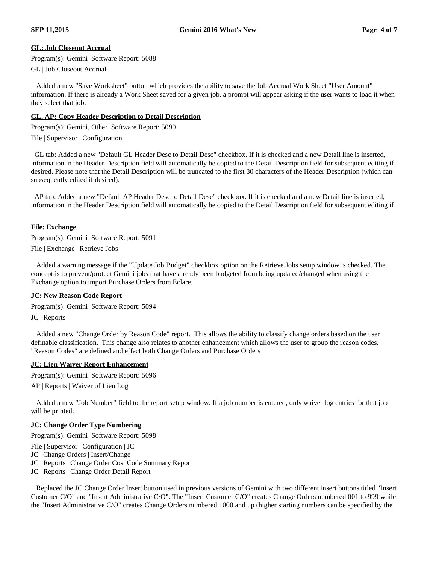### **GL: Job Closeout Accrual**

Program(s): Gemini Software Report: 5088

GL | Job Closeout Accrual

Added a new "Save Worksheet" button which provides the ability to save the Job Accrual Work Sheet "User Amount" information. If there is already a Work Sheet saved for a given job, a prompt will appear asking if the user wants to load it when they select that job.

# **GL, AP: Copy Header Description to Detail Description**

Program(s): Gemini, Other Software Report: 5090

File | Supervisor | Configuration

GL tab: Added a new "Default GL Header Desc to Detail Desc" checkbox. If it is checked and a new Detail line is inserted, information in the Header Description field will automatically be copied to the Detail Description field for subsequent editing if desired. Please note that the Detail Description will be truncated to the first 30 characters of the Header Description (which can subsequently edited if desired).

AP tab: Added a new "Default AP Header Desc to Detail Desc" checkbox. If it is checked and a new Detail line is inserted, information in the Header Description field will automatically be copied to the Detail Description field for subsequent editing if

### **File: Exchange**

Program(s): Gemini Software Report: 5091 File | Exchange | Retrieve Jobs

Added a warning message if the "Update Job Budget" checkbox option on the Retrieve Jobs setup window is checked. The concept is to prevent/protect Gemini jobs that have already been budgeted from being updated/changed when using the Exchange option to import Purchase Orders from Eclare.

### **JC: New Reason Code Report**

Program(s): Gemini Software Report: 5094 JC | Reports

Added a new "Change Order by Reason Code" report. This allows the ability to classify change orders based on the user definable classification. This change also relates to another enhancement which allows the user to group the reason codes. "Reason Codes" are defined and effect both Change Orders and Purchase Orders

### **JC: Lien Waiver Report Enhancement**

Program(s): Gemini Software Report: 5096

AP | Reports | Waiver of Lien Log

Added a new "Job Number" field to the report setup window. If a job number is entered, only waiver log entries for that job will be printed.

### **JC: Change Order Type Numbering**

Program(s): Gemini Software Report: 5098

File | Supervisor | Configuration | JC

JC | Change Orders | Insert/Change

JC | Reports | Change Order Cost Code Summary Report

JC | Reports | Change Order Detail Report

Replaced the JC Change Order Insert button used in previous versions of Gemini with two different insert buttons titled "Insert Customer C/O" and "Insert Administrative C/O". The "Insert Customer C/O" creates Change Orders numbered 001 to 999 while the "Insert Administrative C/O" creates Change Orders numbered 1000 and up (higher starting numbers can be specified by the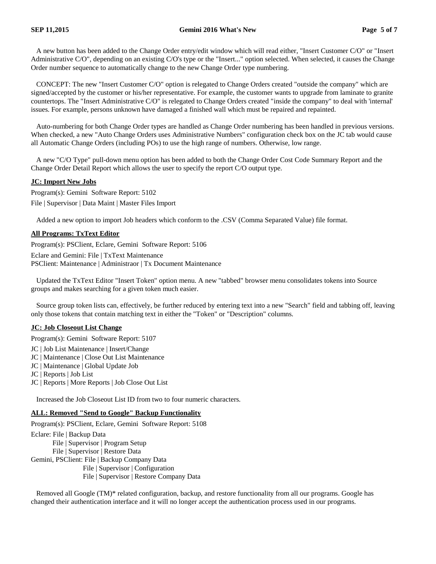A new button has been added to the Change Order entry/edit window which will read either, "Insert Customer C/O" or "Insert Administrative C/O", depending on an existing C/O's type or the "Insert..." option selected. When selected, it causes the Change Order number sequence to automatically change to the new Change Order type numbering.

CONCEPT: The new "Insert Customer C/O" option is relegated to Change Orders created "outside the company" which are signed/accepted by the customer or his/her representative. For example, the customer wants to upgrade from laminate to granite countertops. The "Insert Administrative C/O" is relegated to Change Orders created "inside the company" to deal with 'internal' issues. For example, persons unknown have damaged a finished wall which must be repaired and repainted.

Auto-numbering for both Change Order types are handled as Change Order numbering has been handled in previous versions. When checked, a new "Auto Change Orders uses Administrative Numbers" configuration check box on the JC tab would cause all Automatic Change Orders (including POs) to use the high range of numbers. Otherwise, low range.

A new "C/O Type" pull-down menu option has been added to both the Change Order Cost Code Summary Report and the Change Order Detail Report which allows the user to specify the report C/O output type.

## **JC: Import New Jobs**

Program(s): Gemini Software Report: 5102 File | Supervisor | Data Maint | Master Files Import

Added a new option to import Job headers which conform to the .CSV (Comma Separated Value) file format.

## **All Programs: TxText Editor**

Program(s): PSClient, Eclare, Gemini Software Report: 5106 Eclare and Gemini: File | TxText Maintenance

PSClient: Maintenance | Administraor | Tx Document Maintenance

Updated the TxText Editor "Insert Token" option menu. A new "tabbed" browser menu consolidates tokens into Source groups and makes searching for a given token much easier.

Source group token lists can, effectively, be further reduced by entering text into a new "Search" field and tabbing off, leaving only those tokens that contain matching text in either the "Token" or "Description" columns.

### **JC: Job Closeout List Change**

Program(s): Gemini Software Report: 5107

JC | Job List Maintenance | Insert/Change

JC | Maintenance | Close Out List Maintenance

- JC | Maintenance | Global Update Job
- JC | Reports | Job List
- JC | Reports | More Reports | Job Close Out List

Increased the Job Closeout List ID from two to four numeric characters.

### **ALL: Removed "Send to Google" Backup Functionality**

Program(s): PSClient, Eclare, Gemini Software Report: 5108

Eclare: File | Backup Data File | Supervisor | Program Setup File | Supervisor | Restore Data Gemini, PSClient: File | Backup Company Data File | Supervisor | Configuration File | Supervisor | Restore Company Data

Removed all Google (TM)\* related configuration, backup, and restore functionality from all our programs. Google has changed their authentication interface and it will no longer accept the authentication process used in our programs.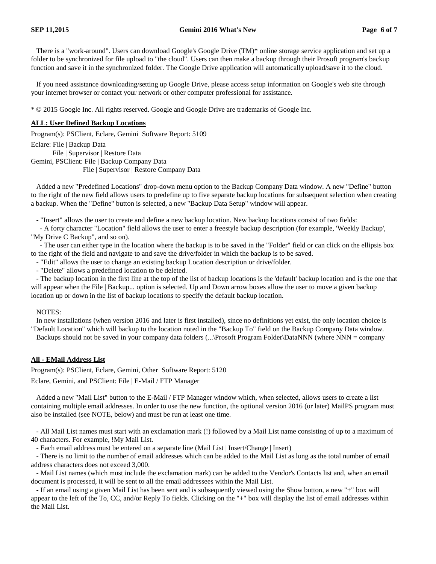There is a "work-around". Users can download Google's Google Drive (TM)\* online storage service application and set up a folder to be synchronized for file upload to "the cloud". Users can then make a backup through their Prosoft program's backup function and save it in the synchronized folder. The Google Drive application will automatically upload/save it to the cloud.

If you need assistance downloading/setting up Google Drive, please access setup information on Google's web site through your internet browser or contact your network or other computer professional for assistance.

\* © 2015 Google Inc. All rights reserved. Google and Google Drive are trademarks of Google Inc.

### **ALL: User Defined Backup Locations**

Program(s): PSClient, Eclare, Gemini Software Report: 5109

Eclare: File | Backup Data File | Supervisor | Restore Data Gemini, PSClient: File | Backup Company Data File | Supervisor | Restore Company Data

Added a new "Predefined Locations" drop-down menu option to the Backup Company Data window. A new "Define" button to the right of the new field allows users to predefine up to five separate backup locations for subsequent selection when creating a backup. When the "Define" button is selected, a new "Backup Data Setup" window will appear.

- "Insert" allows the user to create and define a new backup location. New backup locations consist of two fields:

- A forty character "Location" field allows the user to enter a freestyle backup description (for example, 'Weekly Backup', "My Drive C Backup", and so on).

- The user can either type in the location where the backup is to be saved in the "Folder" field or can click on the ellipsis box to the right of the field and navigate to and save the drive/folder in which the backup is to be saved.

- "Edit" allows the user to change an existing backup Location description or drive/folder.

- "Delete" allows a predefined location to be deleted.

- The backup location in the first line at the top of the list of backup locations is the 'default' backup location and is the one that will appear when the File | Backup... option is selected. Up and Down arrow boxes allow the user to move a given backup location up or down in the list of backup locations to specify the default backup location.

#### NOTES:

In new installations (when version 2016 and later is first installed), since no definitions yet exist, the only location choice is "Default Location" which will backup to the location noted in the "Backup To" field on the Backup Company Data window. Backups should not be saved in your company data folders (...\Prosoft Program Folder\DataNNN (where NNN = company

### **All - EMail Address List**

Program(s): PSClient, Eclare, Gemini, Other Software Report: 5120 Eclare, Gemini, and PSClient: File | E-Mail / FTP Manager

Added a new "Mail List" button to the E-Mail / FTP Manager window which, when selected, allows users to create a list containing multiple email addresses. In order to use the new function, the optional version 2016 (or later) MailPS program must also be installed (see NOTE, below) and must be run at least one time.

- All Mail List names must start with an exclamation mark (!) followed by a Mail List name consisting of up to a maximum of 40 characters. For example, !My Mail List.

- Each email address must be entered on a separate line (Mail List | Insert/Change | Insert)

- There is no limit to the number of email addresses which can be added to the Mail List as long as the total number of email address characters does not exceed 3,000.

- Mail List names (which must include the exclamation mark) can be added to the Vendor's Contacts list and, when an email document is processed, it will be sent to all the email addressees within the Mail List.

- If an email using a given Mail List has been sent and is subsequently viewed using the Show button, a new "+" box will appear to the left of the To, CC, and/or Reply To fields. Clicking on the "+" box will display the list of email addresses within the Mail List.